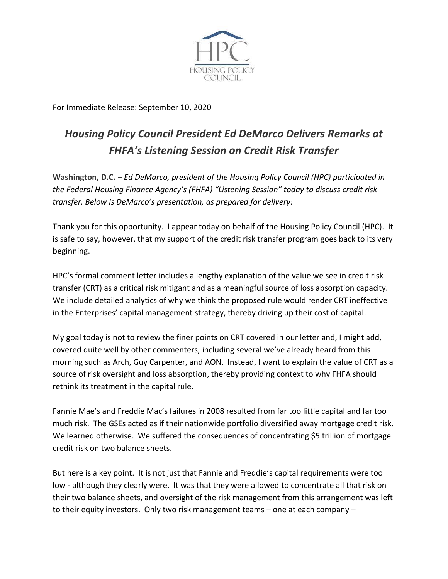

For Immediate Release: September 10, 2020

## *Housing Policy Council President Ed DeMarco Delivers Remarks at FHFA's Listening Session on Credit Risk Transfer*

**Washington, D.C. –** *Ed DeMarco, president of the Housing Policy Council (HPC) participated in the Federal Housing Finance Agency's (FHFA) "Listening Session" today to discuss credit risk transfer. Below is DeMarco's presentation, as prepared for delivery:*

Thank you for this opportunity. I appear today on behalf of the Housing Policy Council (HPC). It is safe to say, however, that my support of the credit risk transfer program goes back to its very beginning.

HPC's formal comment letter includes a lengthy explanation of the value we see in credit risk transfer (CRT) as a critical risk mitigant and as a meaningful source of loss absorption capacity. We include detailed analytics of why we think the proposed rule would render CRT ineffective in the Enterprises' capital management strategy, thereby driving up their cost of capital.

My goal today is not to review the finer points on CRT covered in our letter and, I might add, covered quite well by other commenters, including several we've already heard from this morning such as Arch, Guy Carpenter, and AON. Instead, I want to explain the value of CRT as a source of risk oversight and loss absorption, thereby providing context to why FHFA should rethink its treatment in the capital rule.

Fannie Mae's and Freddie Mac's failures in 2008 resulted from far too little capital and far too much risk. The GSEs acted as if their nationwide portfolio diversified away mortgage credit risk. We learned otherwise. We suffered the consequences of concentrating \$5 trillion of mortgage credit risk on two balance sheets.

But here is a key point. It is not just that Fannie and Freddie's capital requirements were too low - although they clearly were. It was that they were allowed to concentrate all that risk on their two balance sheets, and oversight of the risk management from this arrangement was left to their equity investors. Only two risk management teams – one at each company –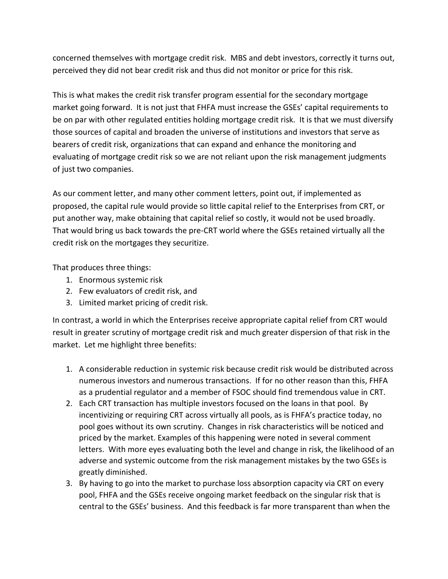concerned themselves with mortgage credit risk. MBS and debt investors, correctly it turns out, perceived they did not bear credit risk and thus did not monitor or price for this risk.

This is what makes the credit risk transfer program essential for the secondary mortgage market going forward. It is not just that FHFA must increase the GSEs' capital requirements to be on par with other regulated entities holding mortgage credit risk. It is that we must diversify those sources of capital and broaden the universe of institutions and investors that serve as bearers of credit risk, organizations that can expand and enhance the monitoring and evaluating of mortgage credit risk so we are not reliant upon the risk management judgments of just two companies.

As our comment letter, and many other comment letters, point out, if implemented as proposed, the capital rule would provide so little capital relief to the Enterprises from CRT, or put another way, make obtaining that capital relief so costly, it would not be used broadly. That would bring us back towards the pre-CRT world where the GSEs retained virtually all the credit risk on the mortgages they securitize.

That produces three things:

- 1. Enormous systemic risk
- 2. Few evaluators of credit risk, and
- 3. Limited market pricing of credit risk.

In contrast, a world in which the Enterprises receive appropriate capital relief from CRT would result in greater scrutiny of mortgage credit risk and much greater dispersion of that risk in the market. Let me highlight three benefits:

- 1. A considerable reduction in systemic risk because credit risk would be distributed across numerous investors and numerous transactions. If for no other reason than this, FHFA as a prudential regulator and a member of FSOC should find tremendous value in CRT.
- 2. Each CRT transaction has multiple investors focused on the loans in that pool. By incentivizing or requiring CRT across virtually all pools, as is FHFA's practice today, no pool goes without its own scrutiny. Changes in risk characteristics will be noticed and priced by the market. Examples of this happening were noted in several comment letters. With more eyes evaluating both the level and change in risk, the likelihood of an adverse and systemic outcome from the risk management mistakes by the two GSEs is greatly diminished.
- 3. By having to go into the market to purchase loss absorption capacity via CRT on every pool, FHFA and the GSEs receive ongoing market feedback on the singular risk that is central to the GSEs' business. And this feedback is far more transparent than when the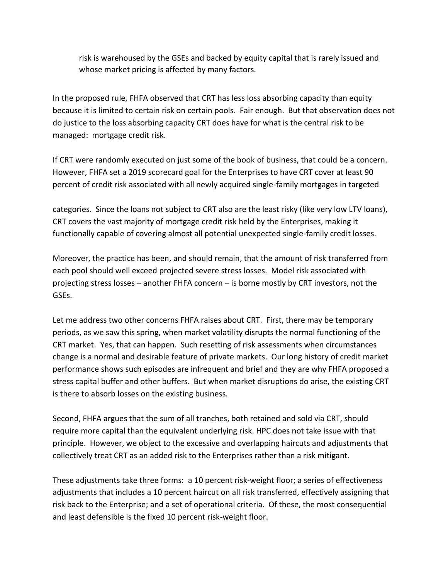risk is warehoused by the GSEs and backed by equity capital that is rarely issued and whose market pricing is affected by many factors.

In the proposed rule, FHFA observed that CRT has less loss absorbing capacity than equity because it is limited to certain risk on certain pools. Fair enough. But that observation does not do justice to the loss absorbing capacity CRT does have for what is the central risk to be managed: mortgage credit risk.

If CRT were randomly executed on just some of the book of business, that could be a concern. However, FHFA set a 2019 scorecard goal for the Enterprises to have CRT cover at least 90 percent of credit risk associated with all newly acquired single-family mortgages in targeted

categories. Since the loans not subject to CRT also are the least risky (like very low LTV loans), CRT covers the vast majority of mortgage credit risk held by the Enterprises, making it functionally capable of covering almost all potential unexpected single-family credit losses.

Moreover, the practice has been, and should remain, that the amount of risk transferred from each pool should well exceed projected severe stress losses. Model risk associated with projecting stress losses – another FHFA concern – is borne mostly by CRT investors, not the GSEs.

Let me address two other concerns FHFA raises about CRT. First, there may be temporary periods, as we saw this spring, when market volatility disrupts the normal functioning of the CRT market. Yes, that can happen. Such resetting of risk assessments when circumstances change is a normal and desirable feature of private markets. Our long history of credit market performance shows such episodes are infrequent and brief and they are why FHFA proposed a stress capital buffer and other buffers. But when market disruptions do arise, the existing CRT is there to absorb losses on the existing business.

Second, FHFA argues that the sum of all tranches, both retained and sold via CRT, should require more capital than the equivalent underlying risk. HPC does not take issue with that principle. However, we object to the excessive and overlapping haircuts and adjustments that collectively treat CRT as an added risk to the Enterprises rather than a risk mitigant.

These adjustments take three forms: a 10 percent risk-weight floor; a series of effectiveness adjustments that includes a 10 percent haircut on all risk transferred, effectively assigning that risk back to the Enterprise; and a set of operational criteria. Of these, the most consequential and least defensible is the fixed 10 percent risk-weight floor.